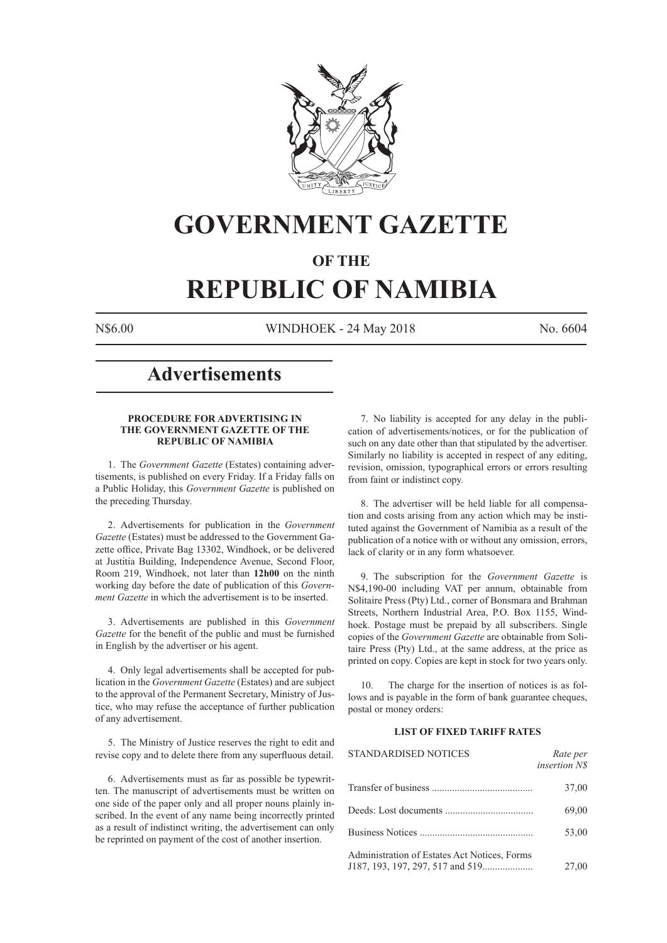

# **GOVERNMENT GAZETTE**

# **OF THE**

# **REPUBLIC OF NAMIBIA**

N\$6.00 WINDHOEK - 24 May 2018 No. 6604

# **Advertisements**

#### **PROCEDURE FOR ADVERTISING IN THE GOVERNMENT GAZETTE OF THE REPUBLIC OF NAMIBIA**

1. The *Government Gazette* (Estates) containing advertisements, is published on every Friday. If a Friday falls on a Public Holiday, this *Government Gazette* is published on the preceding Thursday.

2. Advertisements for publication in the *Government Gazette* (Estates) must be addressed to the Government Gazette office, Private Bag 13302, Windhoek, or be delivered at Justitia Building, Independence Avenue, Second Floor, Room 219, Windhoek, not later than **12h00** on the ninth working day before the date of publication of this *Government Gazette* in which the advertisement is to be inserted.

3. Advertisements are published in this *Government Gazette* for the benefit of the public and must be furnished in English by the advertiser or his agent.

4. Only legal advertisements shall be accepted for publication in the *Government Gazette* (Estates) and are subject to the approval of the Permanent Secretary, Ministry of Justice, who may refuse the acceptance of further publication of any advertisement.

5. The Ministry of Justice reserves the right to edit and revise copy and to delete there from any superfluous detail.

6. Advertisements must as far as possible be typewritten. The manuscript of advertisements must be written on one side of the paper only and all proper nouns plainly inscribed. In the event of any name being incorrectly printed as a result of indistinct writing, the advertisement can only be reprinted on payment of the cost of another insertion.

7. No liability is accepted for any delay in the publication of advertisements/notices, or for the publication of such on any date other than that stipulated by the advertiser. Similarly no liability is accepted in respect of any editing, revision, omission, typographical errors or errors resulting from faint or indistinct copy.

8. The advertiser will be held liable for all compensation and costs arising from any action which may be instituted against the Government of Namibia as a result of the publication of a notice with or without any omission, errors, lack of clarity or in any form whatsoever.

9. The subscription for the *Government Gazette* is N\$4,190-00 including VAT per annum, obtainable from Solitaire Press (Pty) Ltd., corner of Bonsmara and Brahman Streets, Northern Industrial Area, P.O. Box 1155, Windhoek. Postage must be prepaid by all subscribers. Single copies of the *Government Gazette* are obtainable from Solitaire Press (Pty) Ltd., at the same address, at the price as printed on copy. Copies are kept in stock for two years only.

10. The charge for the insertion of notices is as follows and is payable in the form of bank guarantee cheques, postal or money orders:

# **LIST OF FIXED TARIFF RATES**

| <b>STANDARDISED NOTICES</b>                  | Rate per<br>insertion N\$ |
|----------------------------------------------|---------------------------|
|                                              | 37,00                     |
|                                              | 69,00                     |
|                                              | 53,00                     |
| Administration of Estates Act Notices, Forms | 27,00                     |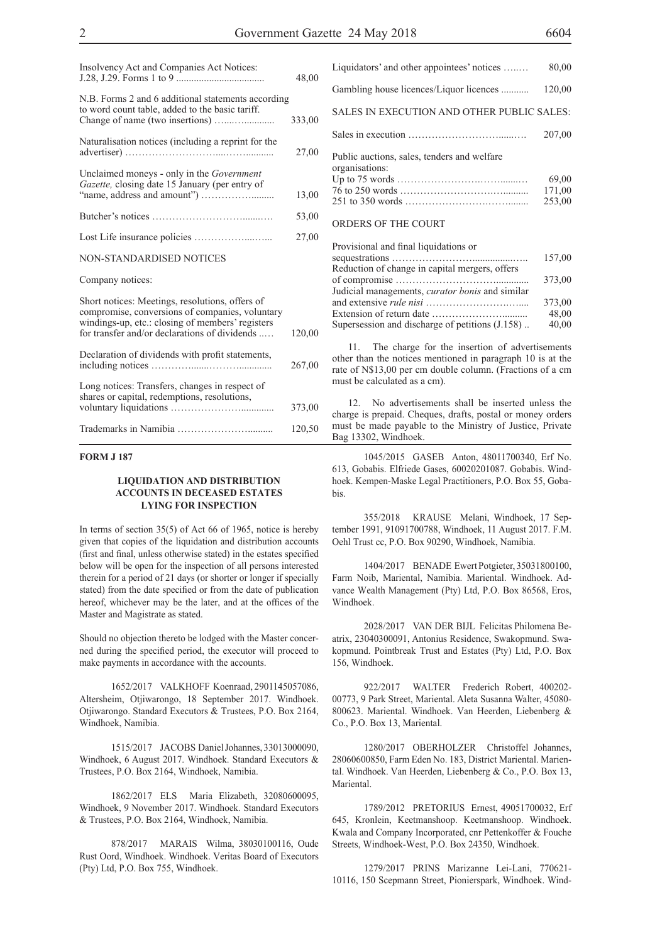| Insolvency Act and Companies Act Notices:                                                                                                                                                               | 48,00  |
|---------------------------------------------------------------------------------------------------------------------------------------------------------------------------------------------------------|--------|
| N.B. Forms 2 and 6 additional statements according<br>to word count table, added to the basic tariff.                                                                                                   | 333,00 |
| Naturalisation notices (including a reprint for the                                                                                                                                                     | 27,00  |
| Unclaimed moneys - only in the <i>Government</i><br>Gazette, closing date 15 January (per entry of                                                                                                      | 13,00  |
|                                                                                                                                                                                                         | 53,00  |
|                                                                                                                                                                                                         | 27,00  |
| NON-STANDARDISED NOTICES                                                                                                                                                                                |        |
| Company notices:                                                                                                                                                                                        |        |
| Short notices: Meetings, resolutions, offers of<br>compromise, conversions of companies, voluntary<br>windings-up, etc.: closing of members' registers<br>for transfer and/or declarations of dividends | 120,00 |
| Declaration of dividends with profit statements,                                                                                                                                                        | 267,00 |
| Long notices: Transfers, changes in respect of<br>shares or capital, redemptions, resolutions,                                                                                                          | 373,00 |
|                                                                                                                                                                                                         | 120,50 |

#### **FORM J 187**

#### **LIQUIDATION AND DISTRIBUTION ACCOUNTS IN DECEASED ESTATES LYING FOR INSPECTION**

In terms of section 35(5) of Act 66 of 1965, notice is hereby given that copies of the liquidation and distribution accounts (first and final, unless otherwise stated) in the estates specified below will be open for the inspection of all persons interested therein for a period of 21 days (or shorter or longer if specially stated) from the date specified or from the date of publication hereof, whichever may be the later, and at the offices of the Master and Magistrate as stated.

Should no objection thereto be lodged with the Master concerned during the specified period, the executor will proceed to make payments in accordance with the accounts.

1652/2017 VALKHOFF Koenraad, 2901145057086, Altersheim, Otjiwarongo, 18 September 2017. Windhoek. Otjiwarongo. Standard Executors & Trustees, P.O. Box 2164, Windhoek, Namibia.

1515/2017 JACOBS Daniel Johannes, 33013000090, Windhoek, 6 August 2017. Windhoek. Standard Executors & Trustees, P.O. Box 2164, Windhoek, Namibia.

1862/2017 ELS Maria Elizabeth, 32080600095, Windhoek, 9 November 2017. Windhoek. Standard Executors & Trustees, P.O. Box 2164, Windhoek, Namibia.

878/2017 MARAIS Wilma, 38030100116, Oude Rust Oord, Windhoek. Windhoek. Veritas Board of Executors (Pty) Ltd, P.O. Box 755, Windhoek.

| Liquidators' and other appointees' notices                    | 80,00                     |
|---------------------------------------------------------------|---------------------------|
| Gambling house licences/Liquor licences                       | 120,00                    |
| SALES IN EXECUTION AND OTHER PUBLIC SALES:                    |                           |
|                                                               | 207,00                    |
| Public auctions, sales, tenders and welfare<br>organisations: | 69.00<br>171,00<br>253,00 |
|                                                               |                           |

#### ORDERS OF THE COURT

| Provisional and final liquidations or                  |        |
|--------------------------------------------------------|--------|
|                                                        | 157,00 |
| Reduction of change in capital mergers, offers         |        |
|                                                        | 373,00 |
| Judicial managements, <i>curator bonis</i> and similar |        |
|                                                        | 373,00 |
|                                                        | 48,00  |
| Supersession and discharge of petitions (J.158)        | 40,00  |
|                                                        |        |

11. The charge for the insertion of advertisements other than the notices mentioned in paragraph 10 is at the rate of N\$13,00 per cm double column. (Fractions of a cm must be calculated as a cm).

12. No advertisements shall be inserted unless the charge is prepaid. Cheques, drafts, postal or money orders must be made payable to the Ministry of Justice, Private Bag 13302, Windhoek.

1045/2015 GASEB Anton, 48011700340, Erf No. 613, Gobabis. Elfriede Gases, 60020201087. Gobabis. Windhoek. Kempen-Maske Legal Practitioners, P.O. Box 55, Gobabis.

355/2018 KRAUSE Melani, Windhoek, 17 September 1991, 91091700788, Windhoek, 11 August 2017. F.M. Oehl Trust cc, P.O. Box 90290, Windhoek, Namibia.

1404/2017 BENADE Ewert Potgieter, 35031800100, Farm Noib, Mariental, Namibia. Mariental. Windhoek. Advance Wealth Management (Pty) Ltd, P.O. Box 86568, Eros, Windhoek.

2028/2017 VAN DER BIJL Felicitas Philomena Beatrix, 23040300091, Antonius Residence, Swakopmund. Swakopmund. Pointbreak Trust and Estates (Pty) Ltd, P.O. Box 156, Windhoek.

922/2017 WALTER Frederich Robert, 400202- 00773, 9 Park Street, Mariental. Aleta Susanna Walter, 45080- 800623. Mariental. Windhoek. Van Heerden, Liebenberg & Co., P.O. Box 13, Mariental.

1280/2017 OBERHOLZER Christoffel Johannes, 28060600850, Farm Eden No. 183, District Mariental. Mariental. Windhoek. Van Heerden, Liebenberg & Co., P.O. Box 13, **Mariental** 

1789/2012 PRETORIUS Ernest, 49051700032, Erf 645, Kronlein, Keetmanshoop. Keetmanshoop. Windhoek. Kwala and Company Incorporated, cnr Pettenkoffer & Fouche Streets, Windhoek-West, P.O. Box 24350, Windhoek.

1279/2017 PRINS Marizanne Lei-Lani, 770621- 10116, 150 Scepmann Street, Pionierspark, Windhoek. Wind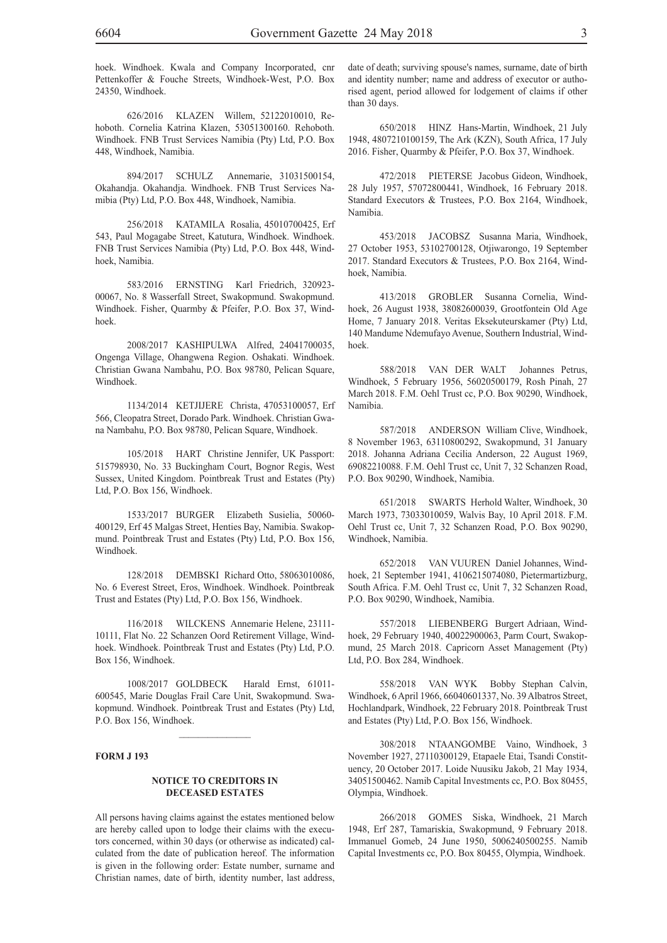hoek. Windhoek. Kwala and Company Incorporated, cnr Pettenkoffer & Fouche Streets, Windhoek-West, P.O. Box 24350, Windhoek.

626/2016 KLAZEN Willem, 52122010010, Rehoboth. Cornelia Katrina Klazen, 53051300160. Rehoboth. Windhoek. FNB Trust Services Namibia (Pty) Ltd, P.O. Box 448, Windhoek, Namibia.

894/2017 SCHULZ Annemarie, 31031500154, Okahandja. Okahandja. Windhoek. FNB Trust Services Namibia (Pty) Ltd, P.O. Box 448, Windhoek, Namibia.

256/2018 KATAMILA Rosalia, 45010700425, Erf 543, Paul Mogagabe Street, Katutura, Windhoek. Windhoek. FNB Trust Services Namibia (Pty) Ltd, P.O. Box 448, Windhoek, Namibia.

583/2016 ERNSTING Karl Friedrich, 320923- 00067, No. 8 Wasserfall Street, Swakopmund. Swakopmund. Windhoek. Fisher, Quarmby & Pfeifer, P.O. Box 37, Windhoek.

2008/2017 KASHIPULWA Alfred, 24041700035, Ongenga Village, Ohangwena Region. Oshakati. Windhoek. Christian Gwana Nambahu, P.O. Box 98780, Pelican Square, Windhoek.

1134/2014 KETJIJERE Christa, 47053100057, Erf 566, Cleopatra Street, Dorado Park. Windhoek. Christian Gwana Nambahu, P.O. Box 98780, Pelican Square, Windhoek.

105/2018 HART Christine Jennifer, UK Passport: 515798930, No. 33 Buckingham Court, Bognor Regis, West Sussex, United Kingdom. Pointbreak Trust and Estates (Pty) Ltd, P.O. Box 156, Windhoek.

1533/2017 BURGER Elizabeth Susielia, 50060- 400129, Erf 45 Malgas Street, Henties Bay, Namibia. Swakopmund. Pointbreak Trust and Estates (Pty) Ltd, P.O. Box 156, Windhoek.

128/2018 DEMBSKI Richard Otto, 58063010086, No. 6 Everest Street, Eros, Windhoek. Windhoek. Pointbreak Trust and Estates (Pty) Ltd, P.O. Box 156, Windhoek.

116/2018 WILCKENS Annemarie Helene, 23111- 10111, Flat No. 22 Schanzen Oord Retirement Village, Windhoek. Windhoek. Pointbreak Trust and Estates (Pty) Ltd, P.O. Box 156, Windhoek.

1008/2017 GOLDBECK Harald Ernst, 61011- 600545, Marie Douglas Frail Care Unit, Swakopmund. Swakopmund. Windhoek. Pointbreak Trust and Estates (Pty) Ltd, P.O. Box 156, Windhoek.

 $\mathcal{L}_\text{max}$ 

#### **FORM J 193**

#### **NOTICE TO CREDITORS IN DECEASED ESTATES**

All persons having claims against the estates mentioned below are hereby called upon to lodge their claims with the executors concerned, within 30 days (or otherwise as indicated) calculated from the date of publication hereof. The information is given in the following order: Estate number, surname and Christian names, date of birth, identity number, last address,

date of death; surviving spouse's names, surname, date of birth and identity number; name and address of executor or authorised agent, period allowed for lodgement of claims if other than 30 days.

650/2018 HINZ Hans-Martin, Windhoek, 21 July 1948, 4807210100159, The Ark (KZN), South Africa, 17 July 2016. Fisher, Quarmby & Pfeifer, P.O. Box 37, Windhoek.

472/2018 PIETERSE Jacobus Gideon, Windhoek, 28 July 1957, 57072800441, Windhoek, 16 February 2018. Standard Executors & Trustees, P.O. Box 2164, Windhoek, Namibia.

453/2018 JACOBSZ Susanna Maria, Windhoek, 27 October 1953, 53102700128, Otjiwarongo, 19 September 2017. Standard Executors & Trustees, P.O. Box 2164, Windhoek, Namibia.

413/2018 GROBLER Susanna Cornelia, Windhoek, 26 August 1938, 38082600039, Grootfontein Old Age Home, 7 January 2018. Veritas Eksekuteurskamer (Pty) Ltd, 140 Mandume Ndemufayo Avenue, Southern Industrial, Windhoek.

588/2018 VAN DER WALT Johannes Petrus, Windhoek, 5 February 1956, 56020500179, Rosh Pinah, 27 March 2018. F.M. Oehl Trust cc, P.O. Box 90290, Windhoek, Namibia.

587/2018 ANDERSON William Clive, Windhoek, 8 November 1963, 63110800292, Swakopmund, 31 January 2018. Johanna Adriana Cecilia Anderson, 22 August 1969, 69082210088. F.M. Oehl Trust cc, Unit 7, 32 Schanzen Road, P.O. Box 90290, Windhoek, Namibia.

651/2018 SWARTS Herhold Walter, Windhoek, 30 March 1973, 73033010059, Walvis Bay, 10 April 2018. F.M. Oehl Trust cc, Unit 7, 32 Schanzen Road, P.O. Box 90290, Windhoek, Namibia.

652/2018 VAN VUUREN Daniel Johannes, Windhoek, 21 September 1941, 4106215074080, Pietermartizburg, South Africa. F.M. Oehl Trust cc, Unit 7, 32 Schanzen Road, P.O. Box 90290, Windhoek, Namibia.

557/2018 LIEBENBERG Burgert Adriaan, Windhoek, 29 February 1940, 40022900063, Parm Court, Swakopmund, 25 March 2018. Capricorn Asset Management (Pty) Ltd, P.O. Box 284, Windhoek.

558/2018 VAN WYK Bobby Stephan Calvin, Windhoek, 6 April 1966, 66040601337, No. 39 Albatros Street, Hochlandpark, Windhoek, 22 February 2018. Pointbreak Trust and Estates (Pty) Ltd, P.O. Box 156, Windhoek.

308/2018 NTAANGOMBE Vaino, Windhoek, 3 November 1927, 27110300129, Etapaele Etai, Tsandi Constituency, 20 October 2017. Loide Nuusiku Jakob, 21 May 1934, 34051500462. Namib Capital Investments cc, P.O. Box 80455, Olympia, Windhoek.

266/2018 GOMES Siska, Windhoek, 21 March 1948, Erf 287, Tamariskia, Swakopmund, 9 February 2018. Immanuel Gomeb, 24 June 1950, 5006240500255. Namib Capital Investments cc, P.O. Box 80455, Olympia, Windhoek.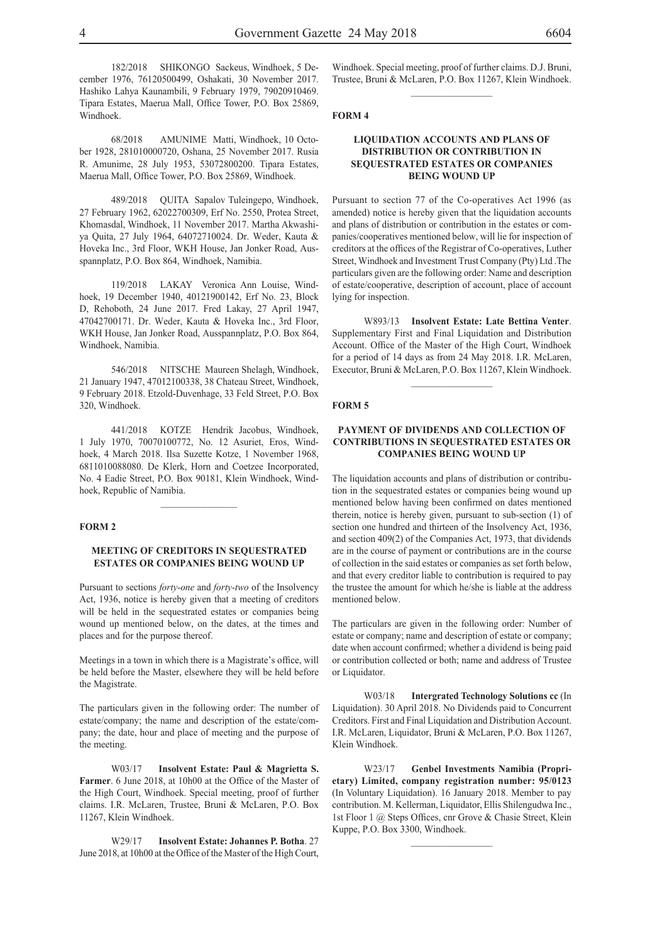182/2018 SHIKONGO Sackeus, Windhoek, 5 December 1976, 76120500499, Oshakati, 30 November 2017. Hashiko Lahya Kaunambili, 9 February 1979, 79020910469. Tipara Estates, Maerua Mall, Office Tower, P.O. Box 25869, Windhoek.

68/2018 AMUNIME Matti, Windhoek, 10 October 1928, 281010000720, Oshana, 25 November 2017. Rusia R. Amunime, 28 July 1953, 53072800200. Tipara Estates, Maerua Mall, Office Tower, P.O. Box 25869, Windhoek.

489/2018 QUITA Sapalov Tuleingepo, Windhoek, 27 February 1962, 62022700309, Erf No. 2550, Protea Street, Khomasdal, Windhoek, 11 November 2017. Martha Akwashiya Quita, 27 July 1964, 64072710024. Dr. Weder, Kauta & Hoveka Inc., 3rd Floor, WKH House, Jan Jonker Road, Ausspannplatz, P.O. Box 864, Windhoek, Namibia.

119/2018 LAKAY Veronica Ann Louise, Windhoek, 19 December 1940, 40121900142, Erf No. 23, Block D, Rehoboth, 24 June 2017. Fred Lakay, 27 April 1947, 47042700171. Dr. Weder, Kauta & Hoveka Inc., 3rd Floor, WKH House, Jan Jonker Road, Ausspannplatz, P.O. Box 864, Windhoek, Namibia.

546/2018 NITSCHE Maureen Shelagh, Windhoek, 21 January 1947, 47012100338, 38 Chateau Street, Windhoek, 9 February 2018. Etzold-Duvenhage, 33 Feld Street, P.O. Box 320, Windhoek.

441/2018 KOTZE Hendrik Jacobus, Windhoek, 1 July 1970, 70070100772, No. 12 Asuriet, Eros, Windhoek, 4 March 2018. Ilsa Suzette Kotze, 1 November 1968, 6811010088080. De Klerk, Horn and Coetzee Incorporated, No. 4 Eadie Street, P.O. Box 90181, Klein Windhoek, Windhoek, Republic of Namibia.

#### **FORM 2**

## **MEETING OF CREDITORS IN SEQUESTRATED ESTATES OR COMPANIES BEING WOUND UP**

Pursuant to sections *forty-one* and *forty-two* of the Insolvency Act, 1936, notice is hereby given that a meeting of creditors will be held in the sequestrated estates or companies being wound up mentioned below, on the dates, at the times and places and for the purpose thereof.

Meetings in a town in which there is a Magistrate's office, will be held before the Master, elsewhere they will be held before the Magistrate.

The particulars given in the following order: The number of estate/company; the name and description of the estate/company; the date, hour and place of meeting and the purpose of the meeting.

W03/17 **Insolvent Estate: Paul & Magrietta S. Farmer**. 6 June 2018, at 10h00 at the Office of the Master of the High Court, Windhoek. Special meeting, proof of further claims. I.R. McLaren, Trustee, Bruni & McLaren, P.O. Box 11267, Klein Windhoek.

W29/17 **Insolvent Estate: Johannes P. Botha**. 27 June 2018, at 10h00 at the Office of the Master of the High Court, Windhoek. Special meeting, proof of further claims. D.J. Bruni, Trustee, Bruni & McLaren, P.O. Box 11267, Klein Windhoek.  $\frac{1}{2}$  ,  $\frac{1}{2}$  ,  $\frac{1}{2}$  ,  $\frac{1}{2}$  ,  $\frac{1}{2}$  ,  $\frac{1}{2}$  ,  $\frac{1}{2}$ 

#### **FORM 4**

#### **LIQUIDATION ACCOUNTS AND PLANS OF DISTRIBUTION OR CONTRIBUTION IN SEQUESTRATED ESTATES OR COMPANIES BEING WOUND UP**

Pursuant to section 77 of the Co-operatives Act 1996 (as amended) notice is hereby given that the liquidation accounts and plans of distribution or contribution in the estates or companies/cooperatives mentioned below, will lie for inspection of creditors at the offices of the Registrar of Co-operatives, Luther Street, Windhoek and Investment Trust Company (Pty) Ltd .The particulars given are the following order: Name and description of estate/cooperative, description of account, place of account lying for inspection.

W893/13 **Insolvent Estate: Late Bettina Venter**. Supplementary First and Final Liquidation and Distribution Account. Office of the Master of the High Court, Windhoek for a period of 14 days as from 24 May 2018. I.R. McLaren, Executor, Bruni & McLaren, P.O. Box 11267, Klein Windhoek.

#### **FORM 5**

#### **PAYMENT OF DIVIDENDS AND COLLECTION OF CONTRIBUTIONS IN SEQUESTRATED ESTATES OR COMPANIES BEING WOUND UP**

The liquidation accounts and plans of distribution or contribution in the sequestrated estates or companies being wound up mentioned below having been confirmed on dates mentioned therein, notice is hereby given, pursuant to sub-section (1) of section one hundred and thirteen of the Insolvency Act, 1936, and section 409(2) of the Companies Act, 1973, that dividends are in the course of payment or contributions are in the course of collection in the said estates or companies as set forth below, and that every creditor liable to contribution is required to pay the trustee the amount for which he/she is liable at the address mentioned below.

The particulars are given in the following order: Number of estate or company; name and description of estate or company; date when account confirmed; whether a dividend is being paid or contribution collected or both; name and address of Trustee or Liquidator.

W03/18 **Intergrated Technology Solutions cc** (In Liquidation). 30 April 2018. No Dividends paid to Concurrent Creditors. First and Final Liquidation and Distribution Account. I.R. McLaren, Liquidator, Bruni & McLaren, P.O. Box 11267, Klein Windhoek.

W23/17 **Genbel Investments Namibia (Proprietary) Limited, company registration number: 95/0123**  (In Voluntary Liquidation). 16 January 2018. Member to pay contribution. M. Kellerman, Liquidator, Ellis Shilengudwa Inc., 1st Floor 1 @ Steps Offices, cnr Grove & Chasie Street, Klein Kuppe, P.O. Box 3300, Windhoek.

 $\frac{1}{2}$  ,  $\frac{1}{2}$  ,  $\frac{1}{2}$  ,  $\frac{1}{2}$  ,  $\frac{1}{2}$  ,  $\frac{1}{2}$  ,  $\frac{1}{2}$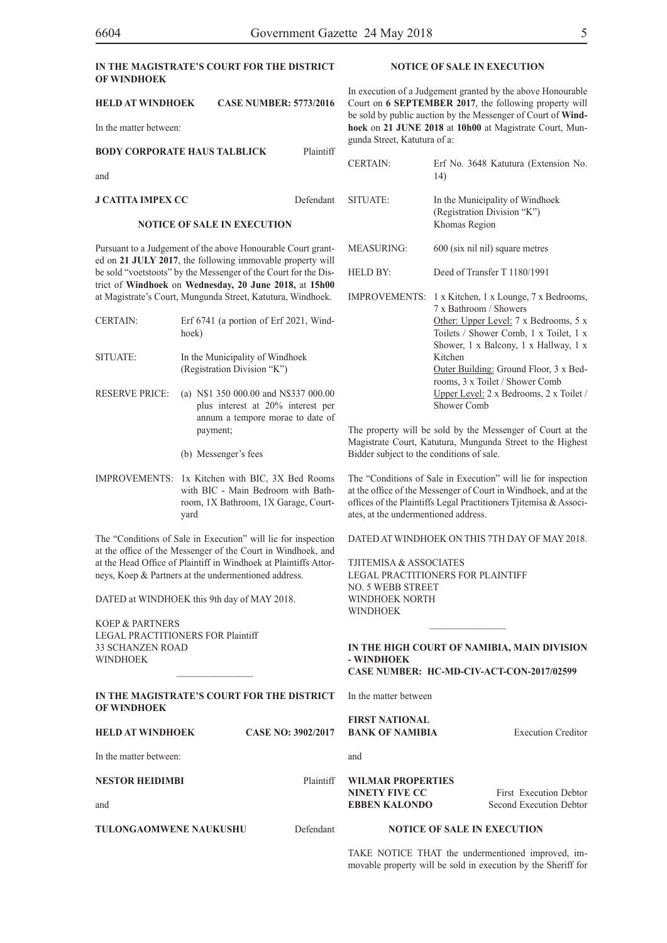# **IN THE MAGISTRATE'S COURT FOR THE DISTRICT OF WINDHOEK**

| <b>HELD AT WINDHOEK</b> | <b>CASE NUMBER: 5773/2016</b> |
|-------------------------|-------------------------------|
|-------------------------|-------------------------------|

In the matter between:

| BODY CORPORATE HAUS TALBLICK       | Plaintiff |
|------------------------------------|-----------|
| and                                |           |
| J CATITA IMPEX CC                  | Defendant |
| <b>NOTICE OF SALE IN EXECUTION</b> |           |

Pursuant to a Judgement of the above Honourable Court granted on **21 JULY 2017**, the following immovable property will be sold "voetstoots" by the Messenger of the Court for the District of **Windhoek** on **Wednesday, 20 June 2018,** at **15h00** at Magistrate's Court, Mungunda Street, Katutura, Windhoek.

- CERTAIN: Erf 6741 (a portion of Erf 2021, Windhoek) SITUATE: In the Municipality of Windhoek
	- (Registration Division "K")
- RESERVE PRICE: (a) N\$1 350 000.00 and N\$337 000.00 plus interest at 20% interest per annum a tempore morae to date of payment;
	- (b) Messenger's fees
- IMPROVEMENTS: 1x Kitchen with BIC, 3X Bed Rooms with BIC - Main Bedroom with Bathroom, 1X Bathroom, 1X Garage, Courtyard

The "Conditions of Sale in Execution" will lie for inspection at the office of the Messenger of the Court in Windhoek, and at the Head Office of Plaintiff in Windhoek at Plaintiffs Attorneys, Koep & Partners at the undermentioned address.

DATED at WINDHOEK this 9th day of MAY 2018.

KOEP & PARTNERS LEGAL PRACTITIONERS FOR Plaintiff 33 SCHANZEN ROAD WINDHOEK

#### **IN THE MAGISTRATE'S COURT FOR THE DISTRICT OF WINDHOEK**

 $\mathcal{L}=\mathcal{L}^{\mathcal{L}}$ 

| <b>HELD AT WINDHOEK</b> | <b>CASE NO: 3902/2017 BANK OF NAMIBIA</b>     |
|-------------------------|-----------------------------------------------|
| In the matter between:  | and                                           |
| <b>NESTOR HEIDIMBI</b>  | Plaintiff WILMAR PROPERTIES<br>NINETY FIVE CC |
| and                     | <b>EBBEN KALONDO</b>                          |

**TULONGAOMWENE NAUKUSHU** Defendant

# **NOTICE OF SALE IN EXECUTION**

In execution of a Judgement granted by the above Honourable Court on **6 SEPTEMBER 2017**, the following property will be sold by public auction by the Messenger of Court of **Windhoek** on **21 JUNE 2018** at **10h00** at Magistrate Court, Mungunda Street, Katutura of a:

| <b>CERTAIN:</b>   | Erf No. 3648 Katutura (Extension No.<br>14)                                                                                                                                                                                                                                                                                                                         |
|-------------------|---------------------------------------------------------------------------------------------------------------------------------------------------------------------------------------------------------------------------------------------------------------------------------------------------------------------------------------------------------------------|
| SITUATE:          | In the Municipality of Windhoek<br>(Registration Division "K")<br>Khomas Region                                                                                                                                                                                                                                                                                     |
| <b>MEASURING:</b> | 600 (six nil nil) square metres                                                                                                                                                                                                                                                                                                                                     |
| HELD BY:          | Deed of Transfer T 1180/1991                                                                                                                                                                                                                                                                                                                                        |
|                   | IMPROVEMENTS: 1 x Kitchen, 1 x Lounge, 7 x Bedrooms,<br>7 x Bathroom / Showers<br>Other: Upper Level: 7 x Bedrooms, 5 x<br>Toilets / Shower Comb, 1 x Toilet, 1 x<br>Shower, 1 x Balcony, 1 x Hallway, 1 x<br>Kitchen<br>Outer Building: Ground Floor, 3 x Bed-<br>rooms, 3 x Toilet / Shower Comb<br>Upper Level: 2 x Bedrooms, 2 x Toilet /<br><b>Shower Comb</b> |

The property will be sold by the Messenger of Court at the Magistrate Court, Katutura, Mungunda Street to the Highest Bidder subject to the conditions of sale.

The "Conditions of Sale in Execution" will lie for inspection at the office of the Messenger of Court in Windhoek, and at the offices of the Plaintiffs Legal Practitioners Tjitemisa & Associates, at the undermentioned address.

DATED AT WINDHOEK ON THIS 7TH DAY OF MAY 2018.

TJITEMISA & ASSOCIATES LEGAL PRACTITIONERS FOR PLAINTIFF NO. 5 WEBB STREET WINDHOEK NORTH **WINDHOFK** 

#### **IN THE HIGH COURT OF NAMIBIA, MAIN DIVISION - WINDHOEK CASE NUMBER: HC-MD-CIV-ACT-CON-2017/02599**

 $\frac{1}{2}$ 

In the matter between

**FIRST NATIONAL BRICK OF NAMIBIA** Execution Creditor

FIVE CC First Execution Debtor **EBBEN KALONDO** Second Execution Debtor

# **NOTICE OF SALE IN EXECUTION**

TAKE NOTICE THAT the undermentioned improved, immovable property will be sold in execution by the Sheriff for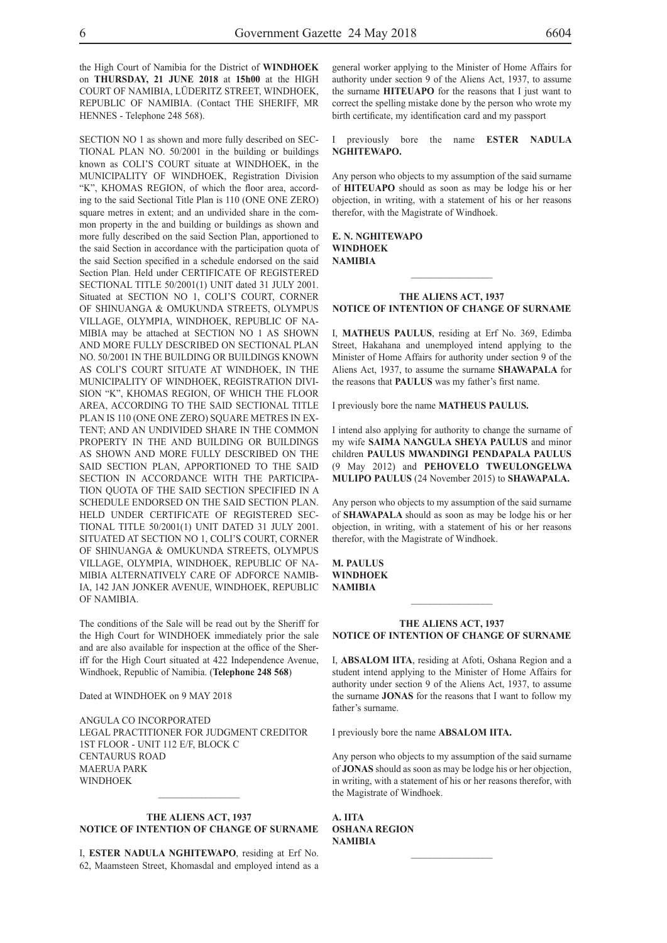the High Court of Namibia for the District of **WINDHOEK** on **THURSDAY, 21 JUNE 2018** at **15h00** at the HIGH COURT OF NAMIBIA, LÜDERITZ STREET, WINDHOEK, REPUBLIC OF NAMIBIA. (Contact THE SHERIFF, MR HENNES - Telephone 248 568).

SECTION NO 1 as shown and more fully described on SEC-TIONAL PLAN NO. 50/2001 in the building or buildings known as COLI'S COURT situate at WINDHOEK, in the MUNICIPALITY OF WINDHOEK, Registration Division "K", KHOMAS REGION, of which the floor area, according to the said Sectional Title Plan is 110 (ONE ONE ZERO) square metres in extent; and an undivided share in the common property in the and building or buildings as shown and more fully described on the said Section Plan, apportioned to the said Section in accordance with the participation quota of the said Section specified in a schedule endorsed on the said Section Plan. Held under CERTIFICATE OF REGISTERED SECTIONAL TITLE 50/2001(1) UNIT dated 31 JULY 2001. Situated at SECTION NO 1, COLI'S COURT, CORNER OF SHINUANGA & OMUKUNDA STREETS, OLYMPUS VILLAGE, OLYMPIA, WINDHOEK, REPUBLIC OF NA-MIBIA may be attached at SECTION NO 1 AS SHOWN AND MORE FULLY DESCRIBED ON SECTIONAL PLAN NO. 50/2001 IN THE BUILDING OR BUILDINGS KNOWN AS COLI'S COURT SITUATE AT WINDHOEK, IN THE MUNICIPALITY OF WINDHOEK, REGISTRATION DIVI-SION "K", KHOMAS REGION, OF WHICH THE FLOOR AREA, ACCORDING TO THE SAID SECTIONAL TITLE PLAN IS 110 (ONE ONE ZERO) SQUARE METRES IN EX-TENT; AND AN UNDIVIDED SHARE IN THE COMMON PROPERTY IN THE AND BUILDING OR BUILDINGS AS SHOWN AND MORE FULLY DESCRIBED ON THE SAID SECTION PLAN, APPORTIONED TO THE SAID SECTION IN ACCORDANCE WITH THE PARTICIPA-TION QUOTA OF THE SAID SECTION SPECIFIED IN A SCHEDULE ENDORSED ON THE SAID SECTION PLAN. HELD UNDER CERTIFICATE OF REGISTERED SEC-TIONAL TITLE 50/2001(1) UNIT DATED 31 JULY 2001. SITUATED AT SECTION NO 1, COLI'S COURT, CORNER OF SHINUANGA & OMUKUNDA STREETS, OLYMPUS VILLAGE, OLYMPIA, WINDHOEK, REPUBLIC OF NA-MIBIA ALTERNATIVELY CARE OF ADFORCE NAMIB-IA, 142 JAN JONKER AVENUE, WINDHOEK, REPUBLIC OF NAMIBIA.

The conditions of the Sale will be read out by the Sheriff for the High Court for WINDHOEK immediately prior the sale and are also available for inspection at the office of the Sheriff for the High Court situated at 422 Independence Avenue, Windhoek, Republic of Namibia. (**Telephone 248 568**)

Dated at WINDHOEK on 9 MAY 2018

ANGULA CO INCORPORATED LEGAL PRACTITIONER FOR JUDGMENT CREDITOR 1ST FLOOR - UNIT 112 E/F, BLOCK C CENTAURUS ROAD MAERUA PARK **WINDHOEK** 

## **THE ALIENS ACT, 1937 NOTICE OF INTENTION OF CHANGE OF SURNAME**

 $\frac{1}{2}$ 

I, **ESTER NADULA NGHITEWAPO**, residing at Erf No. 62, Maamsteen Street, Khomasdal and employed intend as a

general worker applying to the Minister of Home Affairs for authority under section 9 of the Aliens Act, 1937, to assume the surname **HITEUAPO** for the reasons that I just want to correct the spelling mistake done by the person who wrote my birth certificate, my identification card and my passport

I previously bore the name **ESTER NADULA NGHITEWAPO.**

Any person who objects to my assumption of the said surname of **HITEUAPO** should as soon as may be lodge his or her objection, in writing, with a statement of his or her reasons therefor, with the Magistrate of Windhoek.

#### **E. N. NGHITEWAPO WINDHOEK NAMIBIA**

#### **THE ALIENS ACT, 1937 NOTICE OF INTENTION OF CHANGE OF SURNAME**

 $\frac{1}{2}$  ,  $\frac{1}{2}$  ,  $\frac{1}{2}$  ,  $\frac{1}{2}$  ,  $\frac{1}{2}$  ,  $\frac{1}{2}$  ,  $\frac{1}{2}$ 

I, **MATHEUS PAULUS**, residing at Erf No. 369, Edimba Street, Hakahana and unemployed intend applying to the Minister of Home Affairs for authority under section 9 of the Aliens Act, 1937, to assume the surname **SHAWAPALA** for the reasons that **PAULUS** was my father's first name.

I previously bore the name **MATHEUS PAULUS.**

I intend also applying for authority to change the surname of my wife **SAIMA NANGULA SHEYA PAULUS** and minor children **PAULUS MWANDINGI PENDAPALA PAULUS**  (9 May 2012) and **PEHOVELO TWEULONGELWA MULIPO PAULUS** (24 November 2015) to **SHAWAPALA.**

Any person who objects to my assumption of the said surname of **SHAWAPALA** should as soon as may be lodge his or her objection, in writing, with a statement of his or her reasons therefor, with the Magistrate of Windhoek.

**M. PAULUS WINDHOEK NAMIBIA**

#### **THE ALIENS ACT, 1937 NOTICE OF INTENTION OF CHANGE OF SURNAME**

 $\frac{1}{2}$  ,  $\frac{1}{2}$  ,  $\frac{1}{2}$  ,  $\frac{1}{2}$  ,  $\frac{1}{2}$  ,  $\frac{1}{2}$  ,  $\frac{1}{2}$ 

I, **ABSALOM IITA**, residing at Afoti, Oshana Region and a student intend applying to the Minister of Home Affairs for authority under section 9 of the Aliens Act, 1937, to assume the surname **JONAS** for the reasons that I want to follow my father's surname.

I previously bore the name **ABSALOM IITA.**

Any person who objects to my assumption of the said surname of **JONAS** should as soon as may be lodge his or her objection, in writing, with a statement of his or her reasons therefor, with the Magistrate of Windhoek.

 $\frac{1}{2}$  ,  $\frac{1}{2}$  ,  $\frac{1}{2}$  ,  $\frac{1}{2}$  ,  $\frac{1}{2}$  ,  $\frac{1}{2}$  ,  $\frac{1}{2}$ 

**A. IITA OSHANA REGION NAMIBIA**